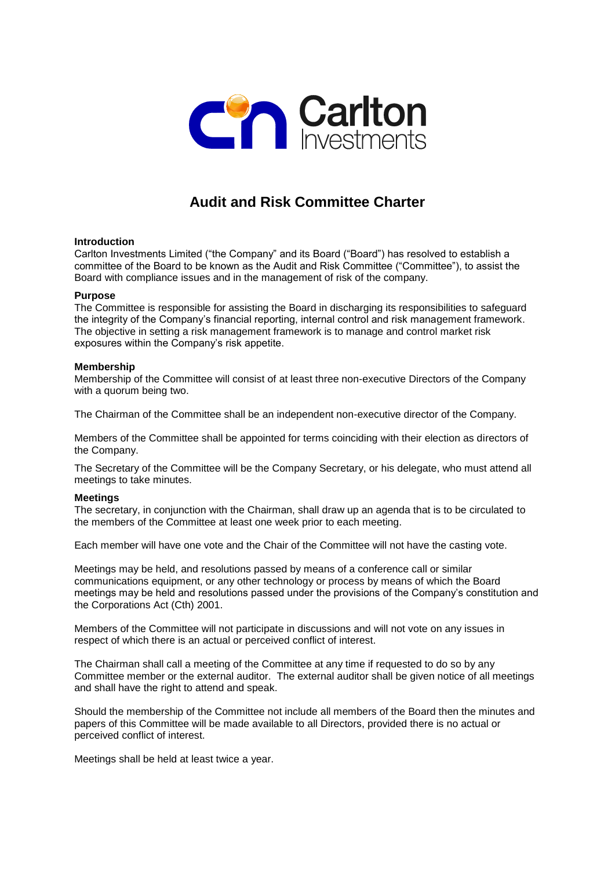

# **Audit and Risk Committee Charter**

# **Introduction**

Carlton Investments Limited ("the Company" and its Board ("Board") has resolved to establish a committee of the Board to be known as the Audit and Risk Committee ("Committee"), to assist the Board with compliance issues and in the management of risk of the company.

## **Purpose**

The Committee is responsible for assisting the Board in discharging its responsibilities to safeguard the integrity of the Company's financial reporting, internal control and risk management framework. The objective in setting a risk management framework is to manage and control market risk exposures within the Company's risk appetite.

#### **Membership**

Membership of the Committee will consist of at least three non-executive Directors of the Company with a quorum being two.

The Chairman of the Committee shall be an independent non-executive director of the Company.

Members of the Committee shall be appointed for terms coinciding with their election as directors of the Company.

The Secretary of the Committee will be the Company Secretary, or his delegate, who must attend all meetings to take minutes.

## **Meetings**

The secretary, in conjunction with the Chairman, shall draw up an agenda that is to be circulated to the members of the Committee at least one week prior to each meeting.

Each member will have one vote and the Chair of the Committee will not have the casting vote.

Meetings may be held, and resolutions passed by means of a conference call or similar communications equipment, or any other technology or process by means of which the Board meetings may be held and resolutions passed under the provisions of the Company's constitution and the Corporations Act (Cth) 2001.

Members of the Committee will not participate in discussions and will not vote on any issues in respect of which there is an actual or perceived conflict of interest.

The Chairman shall call a meeting of the Committee at any time if requested to do so by any Committee member or the external auditor. The external auditor shall be given notice of all meetings and shall have the right to attend and speak.

Should the membership of the Committee not include all members of the Board then the minutes and papers of this Committee will be made available to all Directors, provided there is no actual or perceived conflict of interest.

Meetings shall be held at least twice a year.